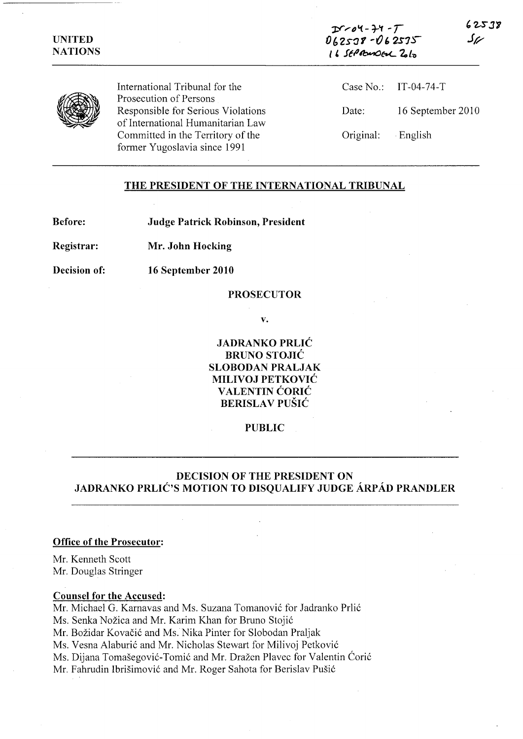$D$  $col-7$  $062538 - 062575$ *i* 6 SEPREMOEL 2012

**, 2SJ'3**  J~



International Tribunal for the Prosecution of Persons Responsible for Serious Violations of International Humanitarian Law Committed in the Territory of the former Yugoslavia since 1991

|                   | Case No.: IT-04-74-T |
|-------------------|----------------------|
| Date:             | 16 September 2010    |
| Original: English |                      |

## **THE PRESIDENT OF THE INTERNATIONAL TRIBUNAL**

**Before:** 

**Judge Patrick Robinson, President** 

**Registrar: Mr. John Hocking** 

**Decision of:** 

**16 September 2010** 

### **PROSECUTOR**

**v.** 

**JADRANKO PRLIC BRUNO STOJIC SLOBODAN PRALJAK MILIVOJ PETKOVIC V ALENTIN CORIC BERISLA V PUSIC** 

## **PUBLIC**

# **DECISION OF THE PRESIDENT ON**  JADRANKO PRLIĆ'S MOTION TO DISQUALIFY JUDGE ARPAD PRANDLER

### **Office of the Prosecutor:**

Mr. Kenneth Scott Mr. Douglas Stringer

## **Counsel for the Accused:**

Mr. Michael G. Karnavas and Ms. Suzana Tomanović for Jadranko Prlić

Ms. Senka Nožica and Mr. Karim Khan for Bruno Stojić

Mr. Božidar Kovačić and Ms. Nika Pinter for Slobodan Praljak

Ms. Vesna Alaburić and Mr. Nicholas Stewart for Milivoj Petković

Ms. Dijana Tomašegović-Tomić and Mr. Dražen Plavec for Valentin Ćorić

Mr. Fahrudin Ibrišimović and Mr. Roger Sahota for Berislav Pušić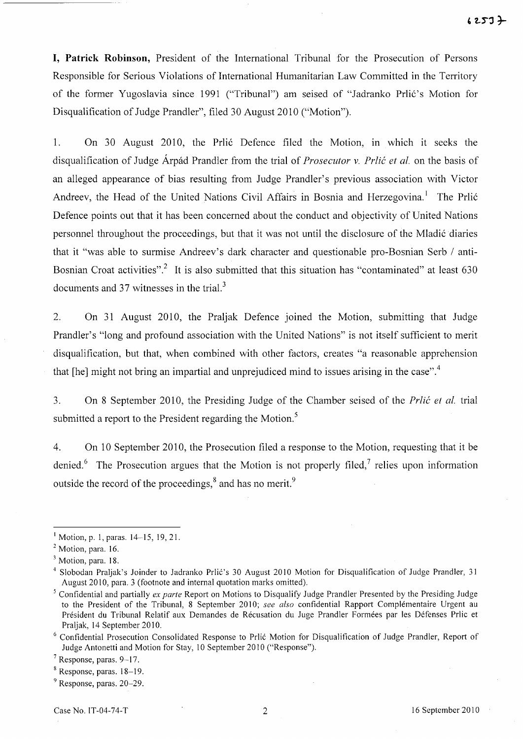**I, Patrick Robinson,** President of the International Tribunal for the Prosecution of Persons Responsible for Serious Violations of International Humanitarian Law Committed in the Territory of the former Yugoslavia since 1991 ("Tribunal") am seised of "Jadranko Prlić's Motion for Disqualification of Judge Prandler", filed 30 August 2010 ("Motion").

1. On 30 August 2010, the Prlić Defence filed the Motion, in which it seeks the disqualification of Judge Arpad Prandler from the trial of *Prosecutor v. Prlic et al.* on the basis of an alleged appearance of bias resulting from Judge Prandler's previous association with Victor Andreev, the Head of the United Nations Civil Affairs in Bosnia and Herzegovina.<sup>1</sup> The Prlić Defence points out that it has been concerned about the conduct and objectivity of United Nations personnel throughout the proceedings, but that it was not until the disclosure of the Mladić diaries that it "was able to surmise Andreev's dark character and questionable pro-Bosnian Serb / anti-Bosnian Croat activities".<sup>2</sup> It is also submitted that this situation has "contaminated" at least 630 documents and 37 witnesses in the trial. $3$ 

2. On 31 August 2010, the Praljak Defence joined the Motion, submitting that Judge Prandler's "long and profound association with the United Nations" is not itself sufficient to merit disqualification, but that, when combined with other factors, creates "a reasonable apprehension that [he] might not bring an impartial and unprejudiced mind to issues arising in the case".<sup>4</sup>

3. On 8 September 2010, the Presiding Judge of the Chamber seised of the *Prlic et al.* trial submitted a report to the President regarding the Motion.<sup>5</sup>

4. On 10 September 2010, the Prosecution filed a response to the Motion, requesting that it be denied.<sup>6</sup> The Prosecution argues that the Motion is not properly filed,<sup>7</sup> relies upon information outside the record of the proceedings, $\delta$  and has no merit.<sup>9</sup>

 $I$  Motion, p. 1, paras. 14-15, 19, 21.

<sup>&</sup>lt;sup>2</sup> Motion, para. 16.

<sup>&</sup>lt;sup>3</sup> Motion, para. 18.

<sup>&</sup>lt;sup>4</sup> Slobodan Praljak's Joinder to Jadranko Prlić's 30 August 2010 Motion for Disqualification of Judge Prandler, 31 August 2010, para. 3 (footnote and internal quotation marks omitted).

<sup>5</sup> Confidential and partially *ex parte* Report on Motions to Disqualify Judge Prandler Presented by the Presiding Judge to the President of the Tribunal, 8 September 2010; see also confidential Rapport Complementaire Urgent au Président du Tribunal Relatif aux Demandes de Récusation du Juge Prandler Formées par les Défenses Prlic et Praljak, 14 September 2010.

<sup>&</sup>lt;sup>6</sup> Confidential Prosecution Consolidated Response to Prlić Motion for Disqualification of Judge Prandler, Report of Judge Antonetti and Motion for Stay, 10 September 2010 ("Response").

<sup>7</sup> Response, paras. 9-17.

 $8$  Response, paras. 18-19.

<sup>9</sup> Response, paras. 20-29.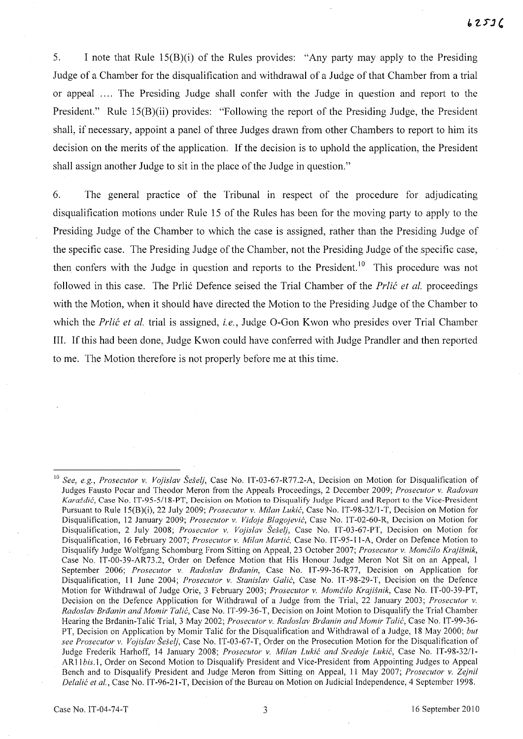5. I note that Rule 15(B)(i) of the Rules provides: "Any party may apply to the Presiding Judge of a Chamber for the disqualification and withdrawal of a Judge of that Chamber from a trial or appeal .... The Presiding Judge shall confer with the Judge in question and report to the President." Rule 15(B)(ii) provides: "Following the report of the Presiding Judge, the President shall, if necessary, appoint a panel of three Judges drawn from other Chambers to report to him its decision on the merits of the application. If the decision is to uphold the application, the President shall assign another Judge to sit in the place of the Judge in question."

6. The general practice of the Tribunal in respect of the procedure for adjudicating disqualification motions under Rule 15 of the Rules has been for the moving party to apply to the Presiding Judge of the Chamber to which the case is assigned, rather than the Presiding Judge of the specific case. The Presiding Judge of the Chamber, not the Presiding Judge of the specific case, then confers with the Judge in question and reports to the President.<sup>10</sup> This procedure was not followed in this case. The Prlic Defence seised the Trial Chamber of the *Prlic et al.* proceedings with the Motion, when it should have directed the Motion to the Presiding Judge of the Chamber to which the *Prlic et al.* trial is assigned, *i.e.,* Judge O-Gon Kwon who presides over Trial Chamber III. If this had been done, Judge K won could have conferred with Judge Prandler and then reported to me. The Motion therefore is not properly before me at this time.

<sup>10</sup>*See, e.g., Prosecutor* v. *Vojislav Se§elj,* Case No. IT-03-67-R77.2-A, Decision on Motion for Disqualification of Judges Fausto Pocar and Theodor Meron from the Appeals Proceedings, 2 December 2009; *Prosecutor* v. *Radovan Karaidic,* Case No. IT-95-5/18-PT, Decision on Motion to Disqualify Judge Picard and Report to the Vice-President Pursuant to Rule 15(B)(i), 22 July 2009; *Prosecutor* v. *Milan Lukic,* Case No. *IT-98-3211-*T, Decision on Motion for Disqualification, 12 January 2009; *Prosecutor* v. *Vidoje Blagojevic,* Case No. IT-02-60-R, Decision on Motion for Disqualification, 2 July 2008; *Prosecutor* v. *Vojislav Se§elj,* Case No. IT-03-67-PT, Decision on Motion for Disqualification, 16 February 2007; *Prosecutor v. Milan Martic,* Case No. IT-95-II-A, Order on Defence Motion to Disqualify Judge Wolfgang Schomburg From Sitting on Appeal, 23 October 2007; *Prosecutor v. Momcilo Krajisnik,*  Case No. IT-00-39-AR73.2, Order on Defence Motion that His Honour Judge Meron Not Sit on an Appeal, 1 September 2006; *Prosecutor* v. *Radoslav Braanin,* Case No. IT-99-36-R77, Decision on Application for Disqualification, 11 June 2004; *Prosecutor* v. *Stanislav Galic,* Case No. IT -98-29-T, Decision on the Defence Motion for Withdrawal of Judge Orie, 3 February 2003; *Prosecutor* v. *Momcilo Krajisnik,* Case No. IT-00-39-PT, Decision on the Defence Application for Withdrawal of a Judge from the Trial, 22 January 2003; *Prosecutor* v. *Radoslav Braanin and Momir Talic,* Case No. IT-99-36-T, Decision on Joint Motion to Disqualify the Trial Chamber Hearing the Brdanin-Talic Trial, 3 May 2002; *Prosecutor* v. *Radoslav Braanin and Momir Talic,* Case No. IT-99-36- PT, Decision on Application by Momir Talic for the Disqualification and Withdrawal of a Judge, 18 May 2000; *but see Prosecutor v. Vojislav Seselj,* Case No. IT-03-67-T, Order on the Prosecution Motion for the Disqualification of Judge Frederik Harhoff, 14 January 2008; *Prosecutor* v. *Milan Lukic and Sredoje Lukic,* Case No. *IT-98-3211-* AR 11 *bis.l,* Order on Second Motion to Disqualify President and Vice-President from Appointing Judges to Appeal Bench and to Disqualify President and Judge Meron from Sitting on Appeal, 11 May 2007; *Prosecutor* v. *Zejnil Delalić et al.*, Case No. IT-96-21-T, Decision of the Bureau on Motion on Judicial Independence, 4 September 1998.